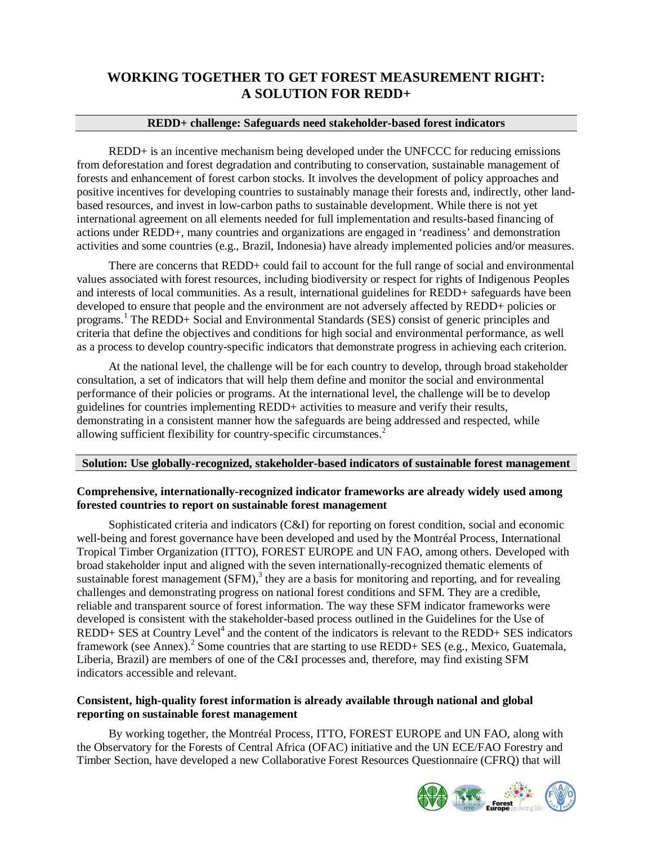# **WORKING TOGETHER TO GET FOREST MEASUREMENT RIGHT: A SOLUTION FOR REDD+**

# **REDD+ challenge: Safeguards need stakeholder-based forest indicators**

REDD+ is an incentive mechanism being developed under the UNFCCC for reducing emissions from deforestation and forest degradation and contributing to conservation, sustainable management of forests and enhancement of forest carbon stocks. It involves the development of policy approaches and positive incentives for developing countries to sustainably manage their forests and, indirectly, other landbased resources, and invest in low-carbon paths to sustainable development. While there is not yet international agreement on all elements needed for full implementation and results-based financing of actions under REDD+, many countries and organizations are engaged in 'readiness' and demonstration activities and some countries (e.g., Brazil, Indonesia) have already implemented policies and/or measures.

There are concerns that REDD+ could fail to account for the full range of social and environmental values associated with forest resources, including biodiversity or respect for rights of Indigenous Peoples and interests of local communities. As a result, international guidelines for REDD+ safeguards have been developed to ensure that people and the environment are not adversely affected by REDD+ policies or programs.<sup>1</sup> The REDD+ Social and Environmental Standards (SES) consist of generic principles and criteria that define the objectives and conditions for high social and environmental performance, as well as a process to develop country-specific indicators that demonstrate progress in achieving each criterion.

At the national level, the challenge will be for each country to develop, through broad stakeholder consultation, a set of indicators that will help them define and monitor the social and environmental performance of their policies or programs. At the international level, the challenge will be to develop guidelines for countries implementing REDD+ activities to measure and verify their results, demonstrating in a consistent manner how the safeguards are being addressed and respected, while allowing sufficient flexibility for country-specific circumstances.<sup>2</sup>

## **Solution: Use globally-recognized, stakeholder-based indicators of sustainable forest management**

#### **Comprehensive, internationally-recognized indicator frameworks are already widely used among forested countries to report on sustainable forest management**

Sophisticated criteria and indicators (C&I) for reporting on forest condition, social and economic well-being and forest governance have been developed and used by the Montréal Process, International Tropical Timber Organization (ITTO), FOREST EUROPE and UN FAO, among others. Developed with broad stakeholder input and aligned with the seven internationally-recognized thematic elements of sustainable forest management  $(SFM)$ ,<sup>3</sup> they are a basis for monitoring and reporting, and for revealing challenges and demonstrating progress on national forest conditions and SFM. They are a credible, reliable and transparent source of forest information. The way these SFM indicator frameworks were developed is consistent with the stakeholder-based process outlined in the Guidelines for the Use of  $REDD+SES$  at Country Level<sup>4</sup> and the content of the indicators is relevant to the REDD+ SES indicators framework (see Annex).<sup>2</sup> Some countries that are starting to use REDD+ SES (e.g., Mexico, Guatemala, Liberia, Brazil) are members of one of the C&I processes and, therefore, may find existing SFM indicators accessible and relevant.

# **Consistent, high-quality forest information is already available through national and global reporting on sustainable forest management**

By working together, the Montréal Process, ITTO, FOREST EUROPE and UN FAO, along with the Observatory for the Forests of Central Africa (OFAC) initiative and the UN ECE/FAO Forestry and Timber Section, have developed a new Collaborative Forest Resources Questionnaire (CFRQ) that will

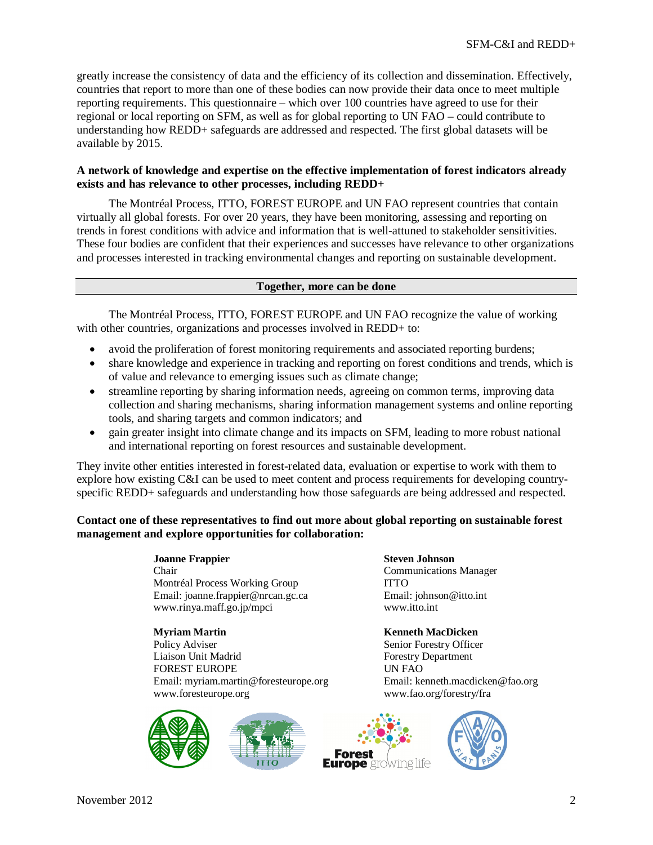greatly increase the consistency of data and the efficiency of its collection and dissemination. Effectively, countries that report to more than one of these bodies can now provide their data once to meet multiple reporting requirements. This questionnaire – which over 100 countries have agreed to use for their regional or local reporting on SFM, as well as for global reporting to UN FAO – could contribute to understanding how REDD+ safeguards are addressed and respected. The first global datasets will be available by 2015.

# **A network of knowledge and expertise on the effective implementation of forest indicators already exists and has relevance to other processes, including REDD+**

The Montréal Process, ITTO, FOREST EUROPE and UN FAO represent countries that contain virtually all global forests. For over 20 years, they have been monitoring, assessing and reporting on trends in forest conditions with advice and information that is well-attuned to stakeholder sensitivities. These four bodies are confident that their experiences and successes have relevance to other organizations and processes interested in tracking environmental changes and reporting on sustainable development.

#### **Together, more can be done**

The Montréal Process, ITTO, FOREST EUROPE and UN FAO recognize the value of working with other countries, organizations and processes involved in REDD+ to:

- avoid the proliferation of forest monitoring requirements and associated reporting burdens;
- share knowledge and experience in tracking and reporting on forest conditions and trends, which is of value and relevance to emerging issues such as climate change;
- streamline reporting by sharing information needs, agreeing on common terms, improving data collection and sharing mechanisms, sharing information management systems and online reporting tools, and sharing targets and common indicators; and
- gain greater insight into climate change and its impacts on SFM, leading to more robust national and international reporting on forest resources and sustainable development.

They invite other entities interested in forest-related data, evaluation or expertise to work with them to explore how existing C&I can be used to meet content and process requirements for developing countryspecific REDD+ safeguards and understanding how those safeguards are being addressed and respected.

# **Contact one of these representatives to find out more about global reporting on sustainable forest management and explore opportunities for collaboration:**

**Joanne Frappier Steven Johnson** Chair Communications Manager Montréal Process Working Group<br>
Email: joanne.frappier@nrcan.gc.ca 
Bmail: johnson@itto.int Email: joanne.frappier@nrcan.gc.ca www.rinya.maff.go.jp/mpci www.itto.int

**Myriam Martin Kenneth MacDicken** Policy Adviser Senior Forestry Officer Liaison Unit Madrid Forestry Department FOREST EUROPE Email: myriam.martin@foresteurope.org Email: kenneth.macdicken@fao.org www.foresteurope.org www.fao.org/forestry/fra